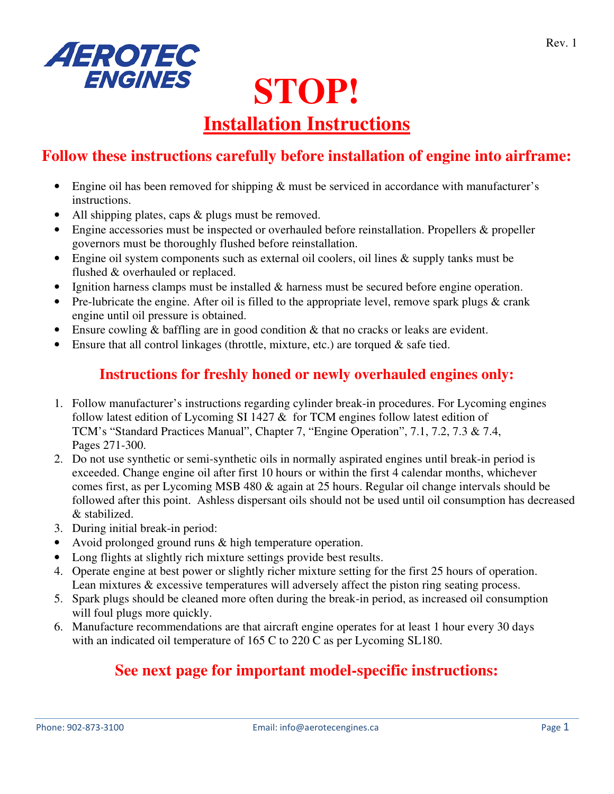

# **STOP!**

## **Installation Instructions**

## **Follow these instructions carefully before installation of engine into airframe:**

- Engine oil has been removed for shipping  $\&$  must be serviced in accordance with manufacturer's instructions.
- All shipping plates, caps & plugs must be removed.
- Engine accessories must be inspected or overhauled before reinstallation. Propellers & propeller governors must be thoroughly flushed before reinstallation.
- Engine oil system components such as external oil coolers, oil lines & supply tanks must be flushed & overhauled or replaced.
- Ignition harness clamps must be installed  $\&$  harness must be secured before engine operation.
- Pre-lubricate the engine. After oil is filled to the appropriate level, remove spark plugs  $\&$  crank engine until oil pressure is obtained.
- Ensure cowling & baffling are in good condition & that no cracks or leaks are evident.
- Ensure that all control linkages (throttle, mixture, etc.) are torqued & safe tied.

#### **Instructions for freshly honed or newly overhauled engines only:**

- 1. Follow manufacturer's instructions regarding cylinder break-in procedures. For Lycoming engines follow latest edition of Lycoming SI 1427  $\&$  for TCM engines follow latest edition of TCM's "Standard Practices Manual", Chapter 7, "Engine Operation", 7.1, 7.2, 7.3 & 7.4, Pages 271-300.
- 2. Do not use synthetic or semi-synthetic oils in normally aspirated engines until break-in period is exceeded. Change engine oil after first 10 hours or within the first 4 calendar months, whichever comes first, as per Lycoming MSB 480 & again at 25 hours. Regular oil change intervals should be followed after this point. Ashless dispersant oils should not be used until oil consumption has decreased & stabilized.
- 3. During initial break-in period:
- Avoid prolonged ground runs & high temperature operation.
- Long flights at slightly rich mixture settings provide best results.
- 4. Operate engine at best power or slightly richer mixture setting for the first 25 hours of operation. Lean mixtures & excessive temperatures will adversely affect the piston ring seating process.
- 5. Spark plugs should be cleaned more often during the break-in period, as increased oil consumption will foul plugs more quickly.
- 6. Manufacture recommendations are that aircraft engine operates for at least 1 hour every 30 days with an indicated oil temperature of 165 C to 220 C as per Lycoming SL180.

### **See next page for important model-specific instructions:**